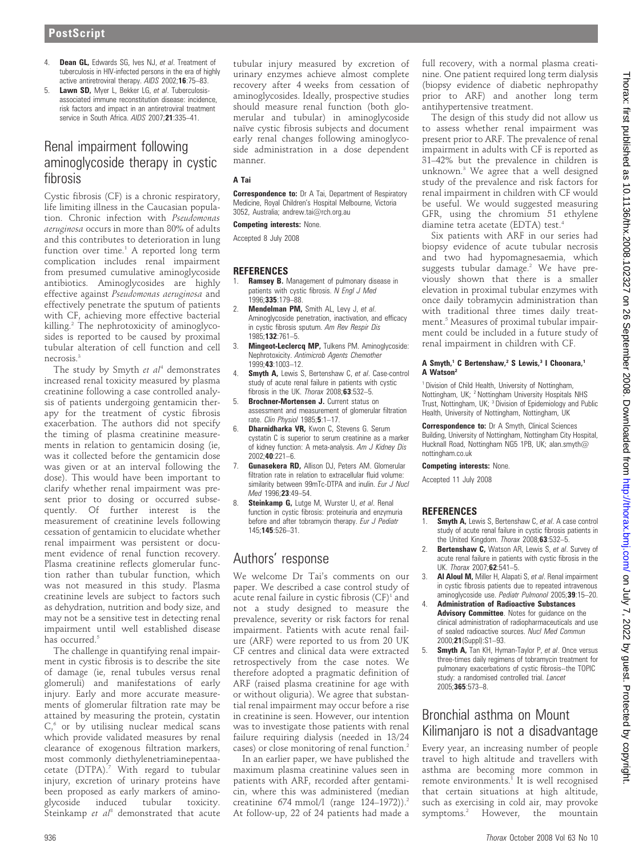- 4. **Dean GL,** Edwards SG, Ives NJ, et al. Treatment of tuberculosis in HIV-infected persons in the era of highly active antiretroviral therapy. AIDS 2002;16:75–83.
- 5. Lawn SD, Myer L, Bekker LG, et al. Tuberculosisassociated immune reconstitution disease: incidence, risk factors and impact in an antiretroviral treatment service in South Africa. AIDS 2007;21:335–41.

# Renal impairment following aminoglycoside therapy in cystic fibrosis

Cystic fibrosis (CF) is a chronic respiratory, life limiting illness in the Caucasian population. Chronic infection with Pseudomonas aeruginosa occurs in more than 80% of adults and this contributes to deterioration in lung function over time.<sup>1</sup> A reported long term complication includes renal impairment from presumed cumulative aminoglycoside antibiotics. Aminoglycosides are highly effective against Pseudomonas aeruginosa and effectively penetrate the sputum of patients with CF, achieving more effective bacterial killing.<sup>2</sup> The nephrotoxicity of aminoglycosides is reported to be caused by proximal tubular alteration of cell function and cell necrosis<sup>3</sup>

The study by Smyth  $et$   $al<sup>4</sup>$  demonstrates increased renal toxicity measured by plasma creatinine following a case controlled analysis of patients undergoing gentamicin therapy for the treatment of cystic fibrosis exacerbation. The authors did not specify the timing of plasma creatinine measurements in relation to gentamicin dosing (ie, was it collected before the gentamicin dose was given or at an interval following the dose). This would have been important to clarify whether renal impairment was present prior to dosing or occurred subsequently. Of further interest is the measurement of creatinine levels following cessation of gentamicin to elucidate whether renal impairment was persistent or document evidence of renal function recovery. Plasma creatinine reflects glomerular function rather than tubular function, which was not measured in this study. Plasma creatinine levels are subject to factors such as dehydration, nutrition and body size, and may not be a sensitive test in detecting renal impairment until well established disease has occurred.<sup>5</sup>

The challenge in quantifying renal impairment in cystic fibrosis is to describe the site of damage (ie, renal tubules versus renal glomeruli) and manifestations of early injury. Early and more accurate measurements of glomerular filtration rate may be attained by measuring the protein, cystatin  $C<sub>0</sub>$  or by utilising nuclear medical scans which provide validated measures by renal clearance of exogenous filtration markers, most commonly diethylenetriaminepentaacetate (DTPA).<sup>7</sup> With regard to tubular injury, excretion of urinary proteins have been proposed as early markers of aminoglycoside induced tubular toxicity. Steinkamp et  $al^8$  demonstrated that acute

tubular injury measured by excretion of urinary enzymes achieve almost complete recovery after 4 weeks from cessation of aminoglycosides. Ideally, prospective studies should measure renal function (both glomerular and tubular) in aminoglycoside naïve cystic fibrosis subjects and document early renal changes following aminoglycoside administration in a dose dependent manner.

## A Tai

**Correspondence to:** Dr A Tai, Department of Respiratory Medicine, Royal Children's Hospital Melbourne, Victoria 3052, Australia; andrew.tai@rch.org.au

## Competing interests: None.

Accepted 8 July 2008

## **REFERENCES**

- 1. **Ramsey B.** Management of pulmonary disease in patients with cystic fibrosis. N Engl J Med 1996;335:179–88.
- 2. **Mendelman PM,** Smith AL, Levy J, et al. Aminoglycoside penetration, inactivation, and efficacy in cystic fibrosis sputum. Am Rev Respir Dis 1985;132:761–5.
- 3. Mingeot-Leclerca MP, Tulkens PM, Aminoglycoside: Nephrotoxicity. Antimicrob Agents Chemother 1999;43:1003–12.
- Smyth A, Lewis S, Bertenshaw C, et al. Case-control study of acute renal failure in patients with cystic fibrosis in the UK. Thorax 2008:63:532-5.
- 5. Brochner-Mortensen J. Current status on assessment and measurement of glomerular filtration rate. Clin Physiol 1985;5:1-17.
- 6. Dharnidharka VR, Kwon C, Stevens G. Serum cystatin C is superior to serum creatinine as a marker of kidney function: A meta-analysis. Am J Kidney Dis 2002;40:221–6.
- Gunasekera RD, Allison DJ, Peters AM, Glomerular filtration rate in relation to extracellular fluid volume: similarity between 99mTc-DTPA and inulin. Eur J Nucl Med 1996:23:49-54.
- 8. Steinkamp G, Lutge M, Wurster U, et al. Renal function in cystic fibrosis: proteinuria and enzymuria before and after tobramycin therapy. Eur J Pediatr 145;145:526–31.

# Authors' response

We welcome Dr Tai's comments on our paper. We described a case control study of acute renal failure in cystic fibrosis  $(CF)^1$  and not a study designed to measure the prevalence, severity or risk factors for renal impairment. Patients with acute renal failure (ARF) were reported to us from 20 UK CF centres and clinical data were extracted retrospectively from the case notes. We therefore adopted a pragmatic definition of ARF (raised plasma creatinine for age with or without oliguria). We agree that substantial renal impairment may occur before a rise in creatinine is seen. However, our intention was to investigate those patients with renal failure requiring dialysis (needed in 13/24 cases) or close monitoring of renal function.2

In an earlier paper, we have published the maximum plasma creatinine values seen in patients with ARF, recorded after gentamicin, where this was administered (median creatinine  $674$  mmol/l (range  $124-1972$ )).<sup>2</sup> At follow-up, 22 of 24 patients had made a

full recovery, with a normal plasma creatinine. One patient required long term dialysis (biopsy evidence of diabetic nephropathy prior to ARF) and another long term antihypertensive treatment.

The design of this study did not allow us to assess whether renal impairment was present prior to ARF. The prevalence of renal impairment in adults with CF is reported as 31–42% but the prevalence in children is unknown.3 We agree that a well designed study of the prevalence and risk factors for renal impairment in children with CF would be useful. We would suggested measuring GFR, using the chromium 51 ethylene diamine tetra acetate (EDTA) test.<sup>4</sup>

Six patients with ARF in our series had biopsy evidence of acute tubular necrosis and two had hypomagnesaemia, which suggests tubular damage.<sup>2</sup> We have previously shown that there is a smaller elevation in proximal tubular enzymes with once daily tobramycin administration than with traditional three times daily treatment.<sup>5</sup> Measures of proximal tubular impairment could be included in a future study of renal impairment in children with CF.

### A Smyth,<sup>1</sup> C Bertenshaw,<sup>2</sup> S Lewis,<sup>3</sup> I Choonara,<sup>1</sup> A Watson2

<sup>1</sup> Division of Child Health, University of Nottingham, Nottingham, UK; <sup>2</sup> Nottingham University Hospitals NHS Trust, Nottingham, UK; <sup>3</sup> Division of Epidemiology and Public Health, University of Nottingham, Nottingham, UK

Correspondence to: Dr A Smyth, Clinical Sciences Building, University of Nottingham, Nottingham City Hospital, Hucknall Road, Nottingham NG5 1PB, UK; alan.smyth@ nottingham.co.uk

### Competing interests: None.

Accepted 11 July 2008

## **REFERENCES**

- Smyth A, Lewis S, Bertenshaw C, et al. A case control study of acute renal failure in cystic fibrosis patients in the United Kingdom. Thorax 2008;63:532-5.
- 2. Bertenshaw C, Watson AR, Lewis S, et al. Survey of acute renal failure in patients with cystic fibrosis in the UK. Thorax 2007;62:541–5.
- 3. **Al Aloul M, Miller H, Alapati S, et al. Renal impairment** in cystic fibrosis patients due to repeated intravenous aminoglycoside use. Pediatr Pulmonol 2005;39:15–20.
- 4. Administration of Radioactive Substances Advisory Committee. Notes for guidance on the clinical administration of radiopharmaceuticals and use of sealed radioactive sources. Nucl Med Commun 2000;21(Suppl):S1–93.
- 5. **Smyth A, Tan KH, Hyman-Taylor P, et al. Once versus** three-times daily regimens of tobramycin treatment for pulmonary exacerbations of cystic fibrosis--the TOPIC study: a randomised controlled trial. Lancet 2005;365:573–8.

# Bronchial asthma on Mount Kilimanjaro is not a disadvantage

Every year, an increasing number of people travel to high altitude and travellers with asthma are becoming more common in remote environments. $<sup>1</sup>$  It is well recognised</sup> that certain situations at high altitude, such as exercising in cold air, may provoke symptoms.2 However, the mountain